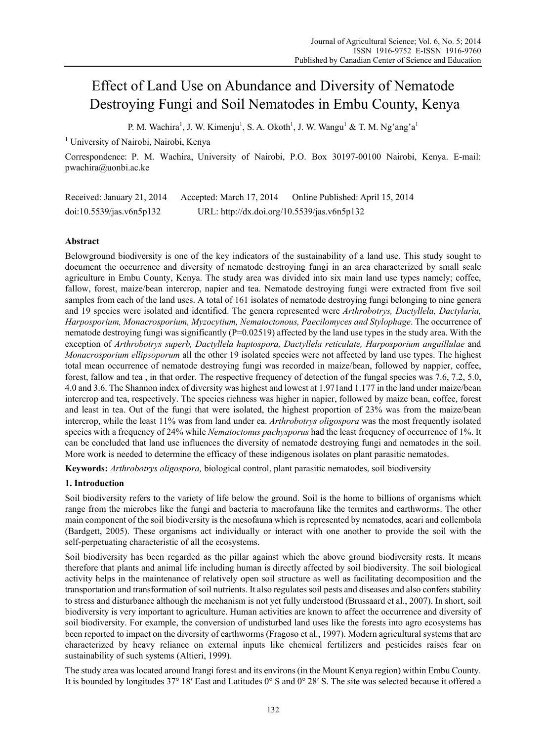# Effect of Land Use on Abundance and Diversity of Nematode Destroying Fungi and Soil Nematodes in Embu County, Kenya

P. M. Wachira<sup>1</sup>, J. W. Kimenju<sup>1</sup>, S. A. Okoth<sup>1</sup>, J. W. Wangu<sup>1</sup> & T. M. Ng'ang'a<sup>1</sup>

<sup>1</sup> University of Nairobi, Nairobi, Kenya

Correspondence: P. M. Wachira, University of Nairobi, P.O. Box 30197-00100 Nairobi, Kenya. E-mail: pwachira@uonbi.ac.ke

Received: January 21, 2014 Accepted: March 17, 2014 Online Published: April 15, 2014 doi:10.5539/jas.v6n5p132 URL: http://dx.doi.org/10.5539/jas.v6n5p132

# **Abstract**

Belowground biodiversity is one of the key indicators of the sustainability of a land use. This study sought to document the occurrence and diversity of nematode destroying fungi in an area characterized by small scale agriculture in Embu County, Kenya. The study area was divided into six main land use types namely; coffee, fallow, forest, maize/bean intercrop, napier and tea. Nematode destroying fungi were extracted from five soil samples from each of the land uses. A total of 161 isolates of nematode destroying fungi belonging to nine genera and 19 species were isolated and identified. The genera represented were *Arthrobotrys, Dactyllela, Dactylaria, Harposporium, Monacrosporium, Myzocytium, Nematoctonous, Paecilomyces and Stylophage*. The occurrence of nematode destroying fungi was significantly (P=0.02519) affected by the land use types in the study area. With the exception of *Arthrobotrys superb, Dactyllela haptospora, Dactyllela reticulate, Harposporium anguillulae* and *Monacrosporium ellipsoporum* all the other 19 isolated species were not affected by land use types. The highest total mean occurrence of nematode destroying fungi was recorded in maize/bean, followed by nappier, coffee, forest, fallow and tea , in that order. The respective frequency of detection of the fungal species was 7.6, 7.2, 5.0, 4.0 and 3.6. The Shannon index of diversity was highest and lowest at 1.971and 1.177 in the land under maize/bean intercrop and tea, respectively. The species richness was higher in napier, followed by maize bean, coffee, forest and least in tea. Out of the fungi that were isolated, the highest proportion of 23% was from the maize/bean intercrop, while the least 11% was from land under ea. *Arthrobotrys oligospora* was the most frequently isolated species with a frequency of 24% while *Nematoctonus pachysporus* had the least frequency of occurrence of 1%. It can be concluded that land use influences the diversity of nematode destroying fungi and nematodes in the soil. More work is needed to determine the efficacy of these indigenous isolates on plant parasitic nematodes.

**Keywords:** *Arthrobotrys oligospora,* biological control, plant parasitic nematodes, soil biodiversity

# **1. Introduction**

Soil biodiversity refers to the variety of life below the ground. Soil is the home to billions of organisms which range from the microbes like the fungi and bacteria to macrofauna like the termites and earthworms. The other main component of the soil biodiversity is the mesofauna which is represented by nematodes, acari and collembola (Bardgett, 2005). These organisms act individually or interact with one another to provide the soil with the self-perpetuating characteristic of all the ecosystems.

Soil biodiversity has been regarded as the pillar against which the above ground biodiversity rests. It means therefore that plants and animal life including human is directly affected by soil biodiversity. The soil biological activity helps in the maintenance of relatively open soil structure as well as facilitating decomposition and the transportation and transformation of soil nutrients. It also regulates soil pests and diseases and also confers stability to stress and disturbance although the mechanism is not yet fully understood (Brussaard et al., 2007). In short, soil biodiversity is very important to agriculture. Human activities are known to affect the occurrence and diversity of soil biodiversity. For example, the conversion of undisturbed land uses like the forests into agro ecosystems has been reported to impact on the diversity of earthworms (Fragoso et al., 1997). Modern agricultural systems that are characterized by heavy reliance on external inputs like chemical fertilizers and pesticides raises fear on sustainability of such systems (Altieri, 1999).

The study area was located around Irangi forest and its environs (in the Mount Kenya region) within Embu County. It is bounded by longitudes 37° 18′ East and Latitudes 0° S and 0° 28′ S. The site was selected because it offered a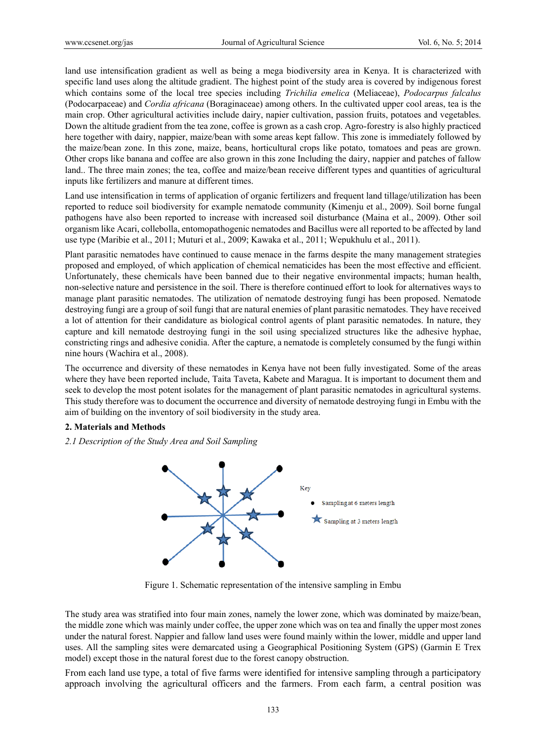land use intensification gradient as well as being a mega biodiversity area in Kenya. It is characterized with specific land uses along the altitude gradient. The highest point of the study area is covered by indigenous forest which contains some of the local tree species including *Trichilia emelica* (Meliaceae), *Podocarpus falcalus* (Podocarpaceae) and *Cordia africana* (Boraginaceae) among others. In the cultivated upper cool areas, tea is the main crop. Other agricultural activities include dairy, napier cultivation, passion fruits, potatoes and vegetables. Down the altitude gradient from the tea zone, coffee is grown as a cash crop. Agro-forestry is also highly practiced here together with dairy, nappier, maize/bean with some areas kept fallow. This zone is immediately followed by the maize/bean zone. In this zone, maize, beans, horticultural crops like potato, tomatoes and peas are grown. Other crops like banana and coffee are also grown in this zone Including the dairy, nappier and patches of fallow land.. The three main zones; the tea, coffee and maize/bean receive different types and quantities of agricultural inputs like fertilizers and manure at different times.

Land use intensification in terms of application of organic fertilizers and frequent land tillage/utilization has been reported to reduce soil biodiversity for example nematode community (Kimenju et al., 2009). Soil borne fungal pathogens have also been reported to increase with increased soil disturbance (Maina et al., 2009). Other soil organism like Acari, collebolla, entomopathogenic nematodes and Bacillus were all reported to be affected by land use type (Maribie et al., 2011; Muturi et al., 2009; Kawaka et al., 2011; Wepukhulu et al., 2011).

Plant parasitic nematodes have continued to cause menace in the farms despite the many management strategies proposed and employed, of which application of chemical nematicides has been the most effective and efficient. Unfortunately, these chemicals have been banned due to their negative environmental impacts; human health, non-selective nature and persistence in the soil. There is therefore continued effort to look for alternatives ways to manage plant parasitic nematodes. The utilization of nematode destroying fungi has been proposed. Nematode destroying fungi are a group of soil fungi that are natural enemies of plant parasitic nematodes. They have received a lot of attention for their candidature as biological control agents of plant parasitic nematodes. In nature, they capture and kill nematode destroying fungi in the soil using specialized structures like the adhesive hyphae, constricting rings and adhesive conidia. After the capture, a nematode is completely consumed by the fungi within nine hours (Wachira et al., 2008).

The occurrence and diversity of these nematodes in Kenya have not been fully investigated. Some of the areas where they have been reported include, Taita Taveta, Kabete and Maragua. It is important to document them and seek to develop the most potent isolates for the management of plant parasitic nematodes in agricultural systems. This study therefore was to document the occurrence and diversity of nematode destroying fungi in Embu with the aim of building on the inventory of soil biodiversity in the study area.

#### **2. Materials and Methods**

*2.1 Description of the Study Area and Soil Sampling* 



Figure 1. Schematic representation of the intensive sampling in Embu

The study area was stratified into four main zones, namely the lower zone, which was dominated by maize/bean, the middle zone which was mainly under coffee, the upper zone which was on tea and finally the upper most zones under the natural forest. Nappier and fallow land uses were found mainly within the lower, middle and upper land uses. All the sampling sites were demarcated using a Geographical Positioning System (GPS) (Garmin E Trex model) except those in the natural forest due to the forest canopy obstruction.

From each land use type, a total of five farms were identified for intensive sampling through a participatory approach involving the agricultural officers and the farmers. From each farm, a central position was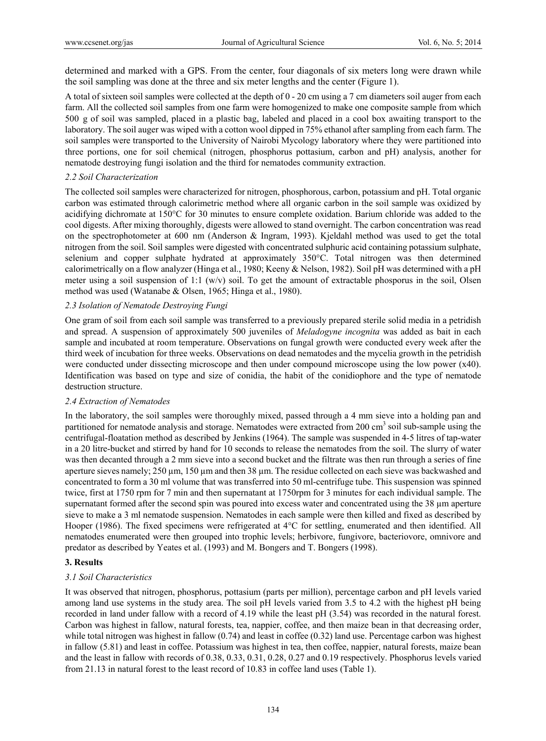determined and marked with a GPS. From the center, four diagonals of six meters long were drawn while the soil sampling was done at the three and six meter lengths and the center (Figure 1).

A total of sixteen soil samples were collected at the depth of 0 - 20 cm using a 7 cm diameters soil auger from each farm. All the collected soil samples from one farm were homogenized to make one composite sample from which 500 g of soil was sampled, placed in a plastic bag, labeled and placed in a cool box awaiting transport to the laboratory. The soil auger was wiped with a cotton wool dipped in 75% ethanol after sampling from each farm. The soil samples were transported to the University of Nairobi Mycology laboratory where they were partitioned into three portions, one for soil chemical (nitrogen, phosphorus pottasium, carbon and pH) analysis, another for nematode destroying fungi isolation and the third for nematodes community extraction.

### *2.2 Soil Characterization*

The collected soil samples were characterized for nitrogen, phosphorous, carbon, potassium and pH. Total organic carbon was estimated through calorimetric method where all organic carbon in the soil sample was oxidized by acidifying dichromate at 150°C for 30 minutes to ensure complete oxidation. Barium chloride was added to the cool digests. After mixing thoroughly, digests were allowed to stand overnight. The carbon concentration was read on the spectrophotometer at 600 nm (Anderson & Ingram, 1993). Kjeldahl method was used to get the total nitrogen from the soil. Soil samples were digested with concentrated sulphuric acid containing potassium sulphate, selenium and copper sulphate hydrated at approximately 350°C. Total nitrogen was then determined calorimetrically on a flow analyzer (Hinga et al., 1980; Keeny & Nelson, 1982). Soil pH was determined with a pH meter using a soil suspension of 1:1 (w/v) soil. To get the amount of extractable phosporus in the soil, Olsen method was used (Watanabe & Olsen, 1965; Hinga et al., 1980).

## *2.3 Isolation of Nematode Destroying Fungi*

One gram of soil from each soil sample was transferred to a previously prepared sterile solid media in a petridish and spread. A suspension of approximately 500 juveniles of *Meladogyne incognita* was added as bait in each sample and incubated at room temperature. Observations on fungal growth were conducted every week after the third week of incubation for three weeks. Observations on dead nematodes and the mycelia growth in the petridish were conducted under dissecting microscope and then under compound microscope using the low power (x40). Identification was based on type and size of conidia, the habit of the conidiophore and the type of nematode destruction structure.

#### *2.4 Extraction of Nematodes*

In the laboratory, the soil samples were thoroughly mixed, passed through a 4 mm sieve into a holding pan and partitioned for nematode analysis and storage. Nematodes were extracted from 200 cm<sup>3</sup> soil sub-sample using the centrifugal-floatation method as described by Jenkins (1964). The sample was suspended in 4-5 litres of tap-water in a 20 litre-bucket and stirred by hand for 10 seconds to release the nematodes from the soil. The slurry of water was then decanted through a 2 mm sieve into a second bucket and the filtrate was then run through a series of fine aperture sieves namely; 250 µm, 150 µm and then 38 µm. The residue collected on each sieve was backwashed and concentrated to form a 30 ml volume that was transferred into 50 ml-centrifuge tube. This suspension was spinned twice, first at 1750 rpm for 7 min and then supernatant at 1750rpm for 3 minutes for each individual sample. The supernatant formed after the second spin was poured into excess water and concentrated using the 38 µm aperture sieve to make a 3 ml nematode suspension. Nematodes in each sample were then killed and fixed as described by Hooper (1986). The fixed specimens were refrigerated at 4°C for settling, enumerated and then identified. All nematodes enumerated were then grouped into trophic levels; herbivore, fungivore, bacteriovore, omnivore and predator as described by Yeates et al. (1993) and M. Bongers and T. Bongers (1998).

# **3. Results**

# *3.1 Soil Characteristics*

It was observed that nitrogen, phosphorus, pottasium (parts per million), percentage carbon and pH levels varied among land use systems in the study area. The soil pH levels varied from 3.5 to 4.2 with the highest pH being recorded in land under fallow with a record of 4.19 while the least pH (3.54) was recorded in the natural forest. Carbon was highest in fallow, natural forests, tea, nappier, coffee, and then maize bean in that decreasing order, while total nitrogen was highest in fallow (0.74) and least in coffee (0.32) land use. Percentage carbon was highest in fallow (5.81) and least in coffee. Potassium was highest in tea, then coffee, nappier, natural forests, maize bean and the least in fallow with records of 0.38, 0.33, 0.31, 0.28, 0.27 and 0.19 respectively. Phosphorus levels varied from 21.13 in natural forest to the least record of 10.83 in coffee land uses (Table 1).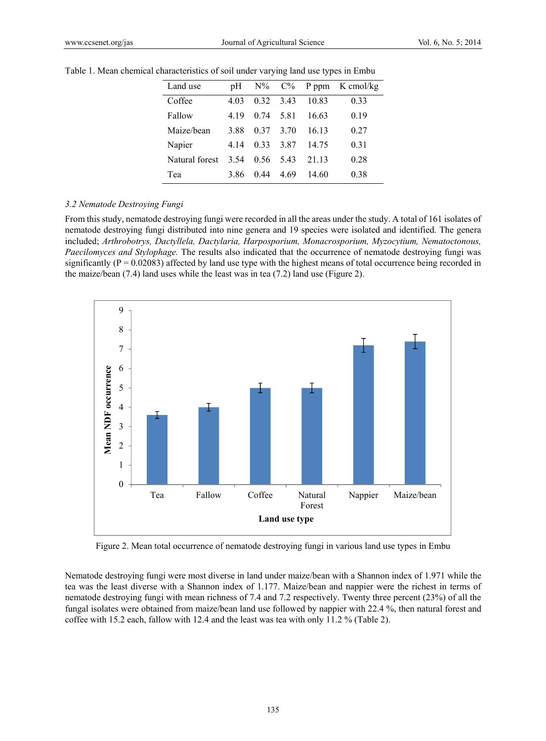| Land use       | pΗ   |           |      |       | $N\%$ $C\%$ P ppm K cmol/kg |
|----------------|------|-----------|------|-------|-----------------------------|
| Coffee         | 4.03 | 0.32 3.43 |      | 10.83 | 0.33                        |
| Fallow         | 4 19 | 0.74      | 581  | 16.63 | 0.19                        |
| Maize/bean     | 3.88 | 0.37      | 3.70 | 16 13 | 0.27                        |
| Napier         | 4 14 | 0.33      | 387  | 14.75 | 0.31                        |
| Natural forest | 3.54 | 0.56      | 543  | 21 13 | 0.28                        |
| Tea            | 386  | 0.44      | 4.69 | 14.60 | 0.38                        |

Table 1. Mean chemical characteristics of soil under varying land use types in Embu

#### *3.2 Nematode Destroying Fungi*

From this study, nematode destroying fungi were recorded in all the areas under the study. A total of 161 isolates of nematode destroying fungi distributed into nine genera and 19 species were isolated and identified. The genera included; *Arthrobotrys, Dactyllela, Dactylaria, Harposporium, Monacrosporium, Myzocytium, Nematoctonous, Paecilomyces and Stylophage.* The results also indicated that the occurrence of nematode destroying fungi was significantly ( $P = 0.02083$ ) affected by land use type with the highest means of total occurrence being recorded in the maize/bean (7.4) land uses while the least was in tea (7.2) land use (Figure 2).



Figure 2. Mean total occurrence of nematode destroying fungi in various land use types in Embu

Nematode destroying fungi were most diverse in land under maize/bean with a Shannon index of 1.971 while the tea was the least diverse with a Shannon index of 1.177. Maize/bean and nappier were the richest in terms of nematode destroying fungi with mean richness of 7.4 and 7.2 respectively. Twenty three percent (23%) of all the fungal isolates were obtained from maize/bean land use followed by nappier with 22.4 %, then natural forest and coffee with 15.2 each, fallow with 12.4 and the least was tea with only 11.2 % (Table 2).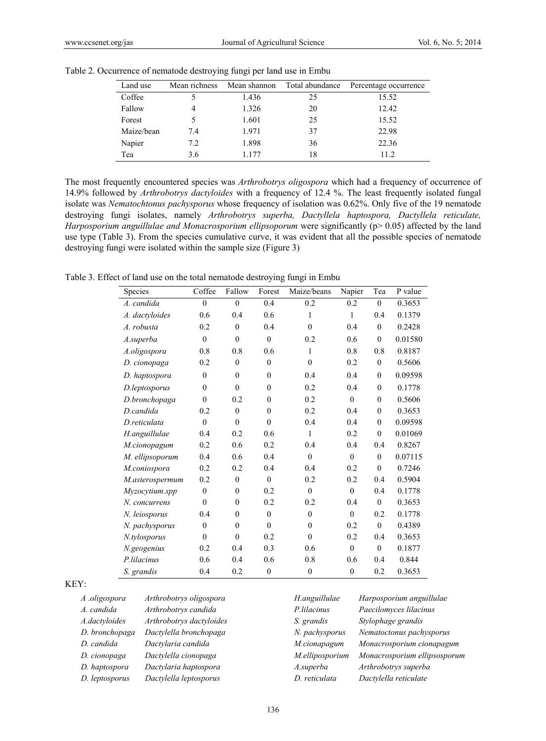| Land use   | Mean richness | Mean shannon | Total abundance | Percentage occurrence |
|------------|---------------|--------------|-----------------|-----------------------|
| Coffee     |               | 1.436        | 25              | 15.52                 |
| Fallow     | 4             | 1.326        | 20              | 12.42                 |
| Forest     | 5             | 1.601        | 25              | 15.52                 |
| Maize/bean | 7.4           | 1.971        | 37              | 22.98                 |
| Napier     | 7.2           | 1.898        | 36              | 22.36                 |
| Tea        | 3.6           | 1 177        | 18              | 11.2                  |

Table 2. Occurrence of nematode destroying fungi per land use in Embu

The most frequently encountered species was *Arthrobotrys oligospora* which had a frequency of occurrence of 14.9% followed by *Arthrobotrys dactyloides* with a frequency of 12.4 %. The least frequently isolated fungal isolate was *Nematochtonus pachysporus* whose frequency of isolation was 0.62%. Only five of the 19 nematode destroying fungi isolates, namely *Arthrobotrys superba, Dactyllela haptospora, Dactyllela reticulate, Harposporium anguillulae and Monacrosporium ellipsoporum* were significantly (p> 0.05) affected by the land use type (Table 3). From the species cumulative curve, it was evident that all the possible species of nematode destroying fungi were isolated within the sample size (Figure 3)

Table 3. Effect of land use on the total nematode destroying fungi in Embu

| Species         | Coffee       | Fallow         | Forest       | Maize/beans    | Napier         | Tea            | P value |
|-----------------|--------------|----------------|--------------|----------------|----------------|----------------|---------|
| A. candida      | $\theta$     | $\theta$       | 0.4          | 0.2            | 0.2            | $\mathbf{0}$   | 0.3653  |
| A. dactyloides  | 0.6          | 0.4            | 0.6          | 1              | 1              | 0.4            | 0.1379  |
| A. robusta      | 0.2          | $\mathbf{0}$   | 0.4          | $\mathbf{0}$   | 0.4            | $\mathbf{0}$   | 0.2428  |
| A.superba       | $\mathbf{0}$ | $\overline{0}$ | $\mathbf{0}$ | 0.2            | 0.6            | $\overline{0}$ | 0.01580 |
| A.oligospora    | 0.8          | 0.8            | 0.6          | 1              | 0.8            | 0.8            | 0.8187  |
| D. cionopaga    | 0.2          | $\mathbf{0}$   | $\mathbf{0}$ | $\mathbf{0}$   | 0.2            | $\mathbf{0}$   | 0.5606  |
| D. haptospora   | $\mathbf{0}$ | $\mathbf{0}$   | $\mathbf{0}$ | 0.4            | 0.4            | $\theta$       | 0.09598 |
| D.leptosporus   | $\theta$     | $\theta$       | $\theta$     | 0.2            | 0.4            | $\theta$       | 0.1778  |
| D.bronchopaga   | $\mathbf{0}$ | 0.2            | $\mathbf{0}$ | 0.2            | $\mathbf{0}$   | $\theta$       | 0.5606  |
| D.candida       | 0.2          | $\theta$       | $\mathbf{0}$ | 0.2            | 0.4            | $\theta$       | 0.3653  |
| D.reticulata    | $\mathbf{0}$ | $\mathbf{0}$   | $\mathbf{0}$ | 0.4            | 0.4            | $\mathbf{0}$   | 0.09598 |
| H.anguillulae   | 0.4          | 0.2            | 0.6          | $\mathbf{1}$   | 0.2            | $\theta$       | 0.01069 |
| M.cionopagum    | 0.2          | 0.6            | 0.2          | 0.4            | 0.4            | 0.4            | 0.8267  |
| M. ellipsoporum | 0.4          | 0.6            | 0.4          | $\theta$       | $\theta$       | $\theta$       | 0.07115 |
| M.coniospora    | 0.2          | 0.2            | 0.4          | 0.4            | 0.2            | $\theta$       | 0.7246  |
| M.asterospermum | 0.2          | $\mathbf{0}$   | $\mathbf{0}$ | 0.2            | 0.2            | 0.4            | 0.5904  |
| Myzocytium.spp  | $\mathbf{0}$ | $\theta$       | 0.2          | $\overline{0}$ | $\mathbf{0}$   | 0.4            | 0.1778  |
| N. concurrens   | $\theta$     | $\mathbf{0}$   | 0.2          | 0.2            | 0.4            | $\mathbf{0}$   | 0.3653  |
| N. leiosporus   | 0.4          | $\mathbf{0}$   | $\mathbf{0}$ | $\mathbf{0}$   | $\mathbf{0}$   | 0.2            | 0.1778  |
| N. pachysporus  | $\mathbf{0}$ | $\mathbf{0}$   | $\theta$     | $\mathbf{0}$   | 0.2            | $\mathbf{0}$   | 0.4389  |
| N.tylosporus    | $\mathbf{0}$ | $\mathbf{0}$   | 0.2          | $\overline{0}$ | 0.2            | 0.4            | 0.3653  |
| N.geogenius     | 0.2          | 0.4            | 0.3          | 0.6            | $\mathbf{0}$   | $\mathbf{0}$   | 0.1877  |
| P.lilacinus     | 0.6          | 0.4            | 0.6          | 0.8            | 0.6            | 0.4            | 0.844   |
| S. grandis      | 0.4          | 0.2            | $\mathbf{0}$ | $\overline{0}$ | $\overline{0}$ | 0.2            | 0.3653  |

#### KEY:

| A .oligospora  | Arthrobotrys oligospora  | H.anguillul  |
|----------------|--------------------------|--------------|
| A. candida     | Arthrobotrys candida     | P.lilacinus  |
| A.dactyloides  | Arthrobotrys dactyloides | S. grandis   |
| D. bronchopaga | Dactylella bronchopaga   | N. pachyspo  |
| D. candida     | Dactylaria candida       | M.cionapag   |
| D. cionopaga   | Dactylella cionopaga     | M.ellipospo  |
| D. haptospora  | Dactylaria haptospora    | A.superba    |
| D. leptosporus | Dactylella leptosporus   | D. reticulat |

*A .oligospora Arthrobotrys oligospora H.anguillulae Harposporium anguillulae A. candida Arthrobotrys candida P.lilacinus Paecilomyces lilacinus A.dactyloides Arthrobotrys dactyloides S. grandis Stylophage grandis D. bronchopaga Dactylella bronchopaga N. pachysporus Nematoctonus pachysporus D. candida Dactylaria candida M.cionapagum Monacrosporium cionapagum D. cionopaga Dactylella cionopaga M.elliposporium Monacrosporium ellipsosporum D. haptospora Dactylaria haptospora A.superba Arthrobotrys superba D. leptosporus Dactylella leptosporus D. reticulata Dactylella reticulate*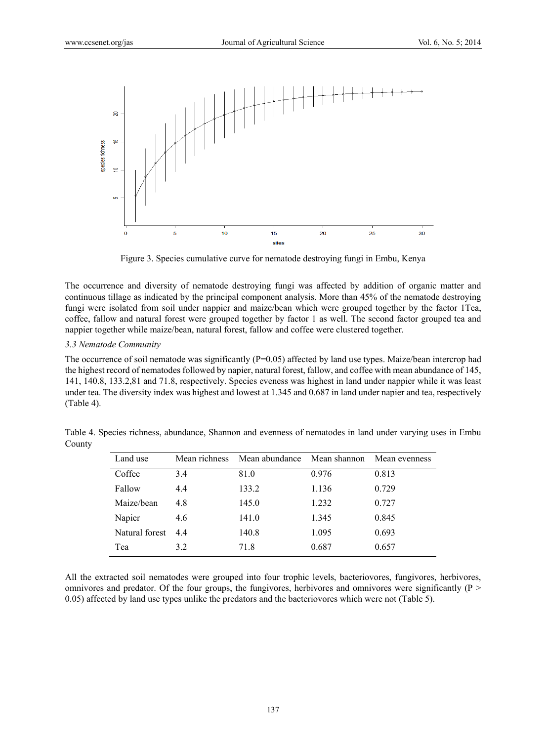

Figure 3. Species cumulative curve for nematode destroying fungi in Embu, Kenya

The occurrence and diversity of nematode destroying fungi was affected by addition of organic matter and continuous tillage as indicated by the principal component analysis. More than 45% of the nematode destroying fungi were isolated from soil under nappier and maize/bean which were grouped together by the factor 1Tea, coffee, fallow and natural forest were grouped together by factor 1 as well. The second factor grouped tea and nappier together while maize/bean, natural forest, fallow and coffee were clustered together.

## *3.3 Nematode Community*

The occurrence of soil nematode was significantly  $(P=0.05)$  affected by land use types. Maize/bean intercrop had the highest record of nematodes followed by napier, natural forest, fallow, and coffee with mean abundance of 145, 141, 140.8, 133.2,81 and 71.8, respectively. Species eveness was highest in land under nappier while it was least under tea. The diversity index was highest and lowest at 1.345 and 0.687 in land under napier and tea, respectively (Table 4).

| Land use       | Mean richness | Mean abundance Mean shannon |       | Mean evenness |
|----------------|---------------|-----------------------------|-------|---------------|
| Coffee         | 3.4           | 81.0                        | 0.976 | 0.813         |
| Fallow         | 4.4           | 133.2                       | 1.136 | 0.729         |
| Maize/bean     | 4.8           | 145.0                       | 1.232 | 0.727         |
| Napier         | 4.6           | 141.0                       | 1.345 | 0.845         |
| Natural forest | 44            | 140.8                       | 1.095 | 0.693         |
| Tea            | 3.2           | 71.8                        | 0.687 | 0.657         |

Table 4. Species richness, abundance, Shannon and evenness of nematodes in land under varying uses in Embu County

All the extracted soil nematodes were grouped into four trophic levels, bacteriovores, fungivores, herbivores, omnivores and predator. Of the four groups, the fungivores, herbivores and omnivores were significantly ( $P >$ 0.05) affected by land use types unlike the predators and the bacteriovores which were not (Table 5).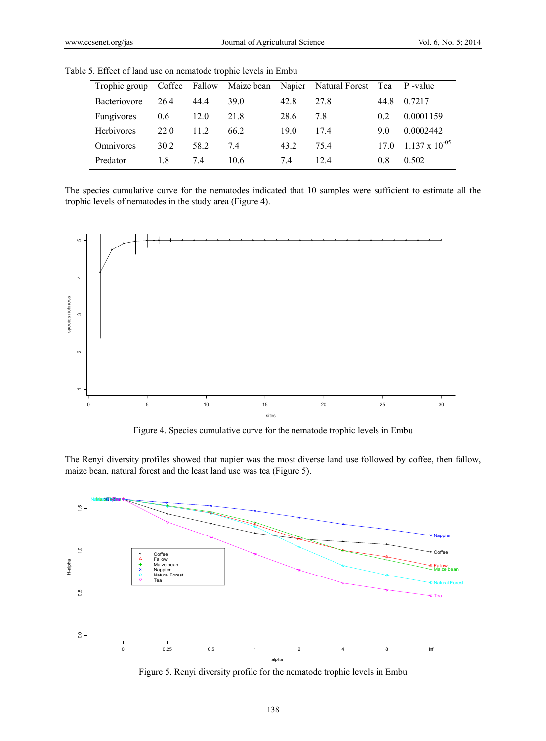|                   |      |      |      |      | Trophic group Coffee Fallow Maize bean Napier Natural Forest Tea P-value |      |                         |
|-------------------|------|------|------|------|--------------------------------------------------------------------------|------|-------------------------|
| Bacteriovore      | 264  | 44.4 | 39.0 | 42.8 | 278                                                                      | 44.8 | 0.7217                  |
| <b>Fungivores</b> | 0.6  | 12.0 | 21.8 | 28.6 | 78                                                                       | 0.2  | 0.0001159               |
| <b>Herbivores</b> | 22.0 | 11.2 | 66.2 | 190  | 174                                                                      | 90   | 0.0002442               |
| Omnivores         | 30.2 | 58.2 | 74   | 43 2 | 754                                                                      |      | 17.0 1.137 x $10^{-05}$ |
| Predator          | 1.8  | 74   | 10.6 | 74   | 12.4                                                                     | 0.8  | 0.502                   |

Table 5. Effect of land use on nematode trophic levels in Embu

The species cumulative curve for the nematodes indicated that 10 samples were sufficient to estimate all the trophic levels of nematodes in the study area (Figure 4).



Figure 4. Species cumulative curve for the nematode trophic levels in Embu

The Renyi diversity profiles showed that napier was the most diverse land use followed by coffee, then fallow, maize bean, natural forest and the least land use was tea (Figure 5).



Figure 5. Renyi diversity profile for the nematode trophic levels in Embu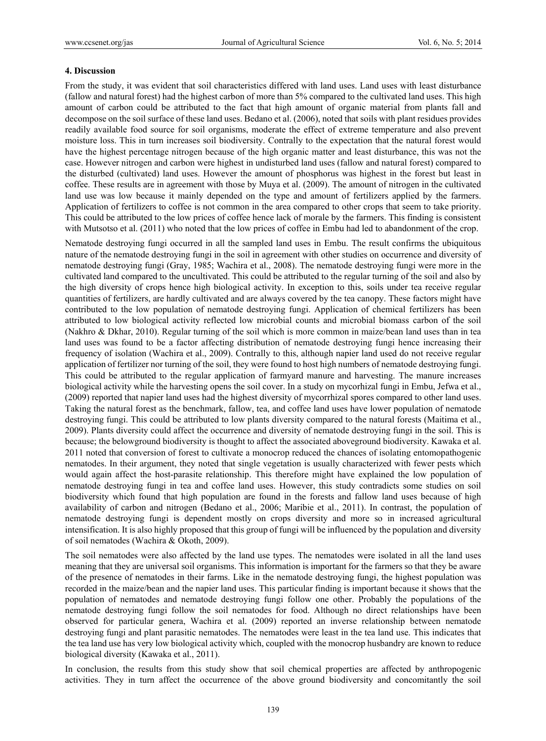#### **4. Discussion**

From the study, it was evident that soil characteristics differed with land uses. Land uses with least disturbance (fallow and natural forest) had the highest carbon of more than 5% compared to the cultivated land uses. This high amount of carbon could be attributed to the fact that high amount of organic material from plants fall and decompose on the soil surface of these land uses. Bedano et al. (2006), noted that soils with plant residues provides readily available food source for soil organisms, moderate the effect of extreme temperature and also prevent moisture loss. This in turn increases soil biodiversity. Contrally to the expectation that the natural forest would have the highest percentage nitrogen because of the high organic matter and least disturbance, this was not the case. However nitrogen and carbon were highest in undisturbed land uses (fallow and natural forest) compared to the disturbed (cultivated) land uses. However the amount of phosphorus was highest in the forest but least in coffee. These results are in agreement with those by Muya et al. (2009). The amount of nitrogen in the cultivated land use was low because it mainly depended on the type and amount of fertilizers applied by the farmers. Application of fertilizers to coffee is not common in the area compared to other crops that seem to take priority. This could be attributed to the low prices of coffee hence lack of morale by the farmers. This finding is consistent with Mutsotso et al. (2011) who noted that the low prices of coffee in Embu had led to abandonment of the crop.

Nematode destroying fungi occurred in all the sampled land uses in Embu. The result confirms the ubiquitous nature of the nematode destroying fungi in the soil in agreement with other studies on occurrence and diversity of nematode destroying fungi (Gray, 1985; Wachira et al., 2008). The nematode destroying fungi were more in the cultivated land compared to the uncultivated. This could be attributed to the regular turning of the soil and also by the high diversity of crops hence high biological activity. In exception to this, soils under tea receive regular quantities of fertilizers, are hardly cultivated and are always covered by the tea canopy. These factors might have contributed to the low population of nematode destroying fungi. Application of chemical fertilizers has been attributed to low biological activity reflected low microbial counts and microbial biomass carbon of the soil (Nakhro & Dkhar, 2010). Regular turning of the soil which is more common in maize/bean land uses than in tea land uses was found to be a factor affecting distribution of nematode destroying fungi hence increasing their frequency of isolation (Wachira et al., 2009). Contrally to this, although napier land used do not receive regular application of fertilizer nor turning of the soil, they were found to host high numbers of nematode destroying fungi. This could be attributed to the regular application of farmyard manure and harvesting. The manure increases biological activity while the harvesting opens the soil cover. In a study on mycorhizal fungi in Embu, Jefwa et al., (2009) reported that napier land uses had the highest diversity of mycorrhizal spores compared to other land uses. Taking the natural forest as the benchmark, fallow, tea, and coffee land uses have lower population of nematode destroying fungi. This could be attributed to low plants diversity compared to the natural forests (Maitima et al., 2009). Plants diversity could affect the occurrence and diversity of nematode destroying fungi in the soil. This is because; the belowground biodiversity is thought to affect the associated aboveground biodiversity. Kawaka et al. 2011 noted that conversion of forest to cultivate a monocrop reduced the chances of isolating entomopathogenic nematodes. In their argument, they noted that single vegetation is usually characterized with fewer pests which would again affect the host-parasite relationship. This therefore might have explained the low population of nematode destroying fungi in tea and coffee land uses. However, this study contradicts some studies on soil biodiversity which found that high population are found in the forests and fallow land uses because of high availability of carbon and nitrogen (Bedano et al., 2006; Maribie et al., 2011). In contrast, the population of nematode destroying fungi is dependent mostly on crops diversity and more so in increased agricultural intensification. It is also highly proposed that this group of fungi will be influenced by the population and diversity of soil nematodes (Wachira & Okoth, 2009).

The soil nematodes were also affected by the land use types. The nematodes were isolated in all the land uses meaning that they are universal soil organisms. This information is important for the farmers so that they be aware of the presence of nematodes in their farms. Like in the nematode destroying fungi, the highest population was recorded in the maize/bean and the napier land uses. This particular finding is important because it shows that the population of nematodes and nematode destroying fungi follow one other. Probably the populations of the nematode destroying fungi follow the soil nematodes for food. Although no direct relationships have been observed for particular genera, Wachira et al. (2009) reported an inverse relationship between nematode destroying fungi and plant parasitic nematodes. The nematodes were least in the tea land use. This indicates that the tea land use has very low biological activity which, coupled with the monocrop husbandry are known to reduce biological diversity (Kawaka et al., 2011).

In conclusion, the results from this study show that soil chemical properties are affected by anthropogenic activities. They in turn affect the occurrence of the above ground biodiversity and concomitantly the soil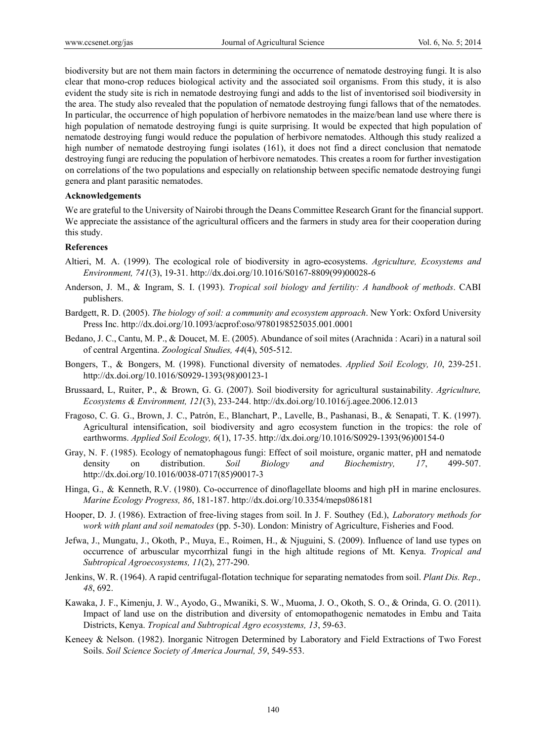biodiversity but are not them main factors in determining the occurrence of nematode destroying fungi. It is also clear that mono-crop reduces biological activity and the associated soil organisms. From this study, it is also evident the study site is rich in nematode destroying fungi and adds to the list of inventorised soil biodiversity in the area. The study also revealed that the population of nematode destroying fungi fallows that of the nematodes. In particular, the occurrence of high population of herbivore nematodes in the maize/bean land use where there is high population of nematode destroying fungi is quite surprising. It would be expected that high population of nematode destroying fungi would reduce the population of herbivore nematodes. Although this study realized a high number of nematode destroying fungi isolates (161), it does not find a direct conclusion that nematode destroying fungi are reducing the population of herbivore nematodes. This creates a room for further investigation on correlations of the two populations and especially on relationship between specific nematode destroying fungi genera and plant parasitic nematodes.

#### **Acknowledgements**

We are grateful to the University of Nairobi through the Deans Committee Research Grant for the financial support. We appreciate the assistance of the agricultural officers and the farmers in study area for their cooperation during this study.

## **References**

- Altieri, M. A. (1999). The ecological role of biodiversity in agro-ecosystems. *Agriculture, Ecosystems and Environment, 741*(3), 19-31. http://dx.doi.org/10.1016/S0167-8809(99)00028-6
- Anderson, J. M., & Ingram, S. I. (1993). *Tropical soil biology and fertility: A handbook of methods*. CABI publishers.
- Bardgett, R. D. (2005). *The biology of soil: a community and ecosystem approach*. New York: Oxford University Press Inc. http://dx.doi.org/10.1093/acprof:oso/9780198525035.001.0001
- Bedano, J. C., Cantu, M. P., & Doucet, M. E. (2005). Abundance of soil mites (Arachnida : Acari) in a natural soil of central Argentina. *Zoological Studies, 44*(4), 505-512.
- Bongers, T., & Bongers, M. (1998). Functional diversity of nematodes. *Applied Soil Ecology, 10*, 239-251. http://dx.doi.org/10.1016/S0929-1393(98)00123-1
- Brussaard, L, Ruiter, P., & Brown, G. G. (2007). Soil biodiversity for agricultural sustainability. *Agriculture, Ecosystems & Environment, 121*(3), 233-244. http://dx.doi.org/10.1016/j.agee.2006.12.013
- Fragoso, C. G. G., Brown, J. C., Patrón, E., Blanchart, P., Lavelle, B., Pashanasi, B., & Senapati, T. K. (1997). Agricultural intensification, soil biodiversity and agro ecosystem function in the tropics: the role of earthworms. *Applied Soil Ecology, 6*(1), 17-35. http://dx.doi.org/10.1016/S0929-1393(96)00154-0
- Gray, N. F. (1985). Ecology of nematophagous fungi: Effect of soil moisture, organic matter, pH and nematode density on distribution. *Soil Biology and Biochemistry, 17*, 499-507. http://dx.doi.org/10.1016/0038-0717(85)90017-3
- Hinga, G., & Kenneth, R.V. (1980). Co-occurrence of dinoflagellate blooms and high pH in marine enclosures. *Marine Ecology Progress, 86*, 181-187. http://dx.doi.org/10.3354/meps086181
- Hooper, D. J. (1986). Extraction of free-living stages from soil. In J. F. Southey (Ed.), *Laboratory methods for work with plant and soil nematodes* (pp. 5-30). London: Ministry of Agriculture, Fisheries and Food.
- Jefwa, J., Mungatu, J., Okoth, P., Muya, E., Roimen, H., & Njuguini, S. (2009). Influence of land use types on occurrence of arbuscular mycorrhizal fungi in the high altitude regions of Mt. Kenya. *Tropical and Subtropical Agroecosystems, 11*(2), 277-290.
- Jenkins, W. R. (1964). A rapid centrifugal-flotation technique for separating nematodes from soil. *Plant Dis. Rep., 48*, 692.
- Kawaka, J. F., Kimenju, J. W., Ayodo, G., Mwaniki, S. W., Muoma, J. O., Okoth, S. O., & Orinda, G. O. (2011). Impact of land use on the distribution and diversity of entomopathogenic nematodes in Embu and Taita Districts, Kenya. *Tropical and Subtropical Agro ecosystems, 13*, 59-63.
- Keneey & Nelson. (1982). Inorganic Nitrogen Determined by Laboratory and Field Extractions of Two Forest Soils. *Soil Science Society of America Journal, 59*, 549-553.